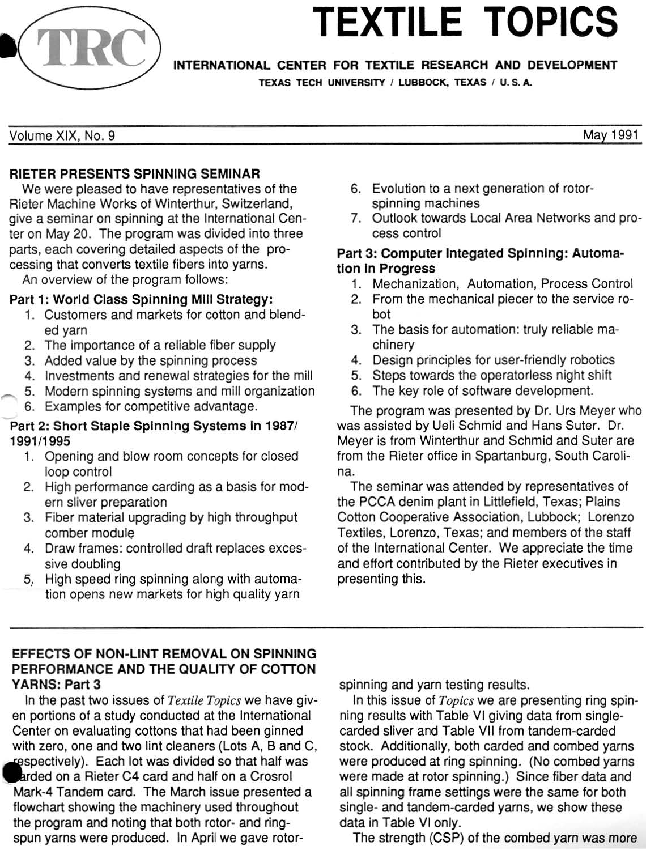

# **TEXTILE TOPICS**

INTERNATIONAL CENTER FOR TEXTILE RESEARCH AND DEVELOPMENT

TEXAS TECH UNIVERSITY / LUBBOCK, TEXAS / U.S.A.

May 1991

Volume XIX, No. 9

# RIETER PRESENTS SPINNING SEMINAR

We were pleased to have representatives of the Rieter Machine Works of Winterthur, Switzerland, give a seminar on spinning at the International Center on May 20. The program was divided into three parts, each covering detailed aspects of the processing that converts textile fibers into yarns.

An overview of the program follows:

## Part 1: World Class Spinning Mill Strategy:

- 1. Customers and markets for cotton and blended yarn
- 2. The importance of a reliable fiber supply
- 3. Added value by the spinning process
- 4. Investments and renewal strategies for the mill
- 5. Modern spinning systems and mill organization
- 6. Examples for competitive advantage.

## Part 2: Short Staple Spinning Systems In 1987/ *199111995*

- 1. Opening and blow room concepts for closed loop control
- 2. High performance carding as a basis for modern sliver preparation
- 3. Fiber material upgrading by high throughput comber module
- 4. Draw frames: controlled draft replaces excessive doubling
- 5.. High speed ring spinning along with automation opens new markets for high quality yarn

## 6. Evolution to a next generation of rotorspinning machines

7. Outlook towards Local Area Networks and process control

## Part 3: Computer Integated Spinning: Automa· tion in Progress

- 1. Mechanization, Automation, Process Control
- 2. From the mechanical piecer to the service robot
- 3. The basis for automation: truly reliable machinery
- 4. Design principles for user-friendly robotics
- 5. Sleps towards the operatarless night shift
- 6. The key role of software development.

The program was presented by Dr. Urs Meyer who was assisted by Ueli Schmid and Hans Suter. Dr. Meyer is from Winterthur and Schmid and Suter are from the Rieter office in Spartanburg, South Carolina.

The seminar was attended by representatives of the PCCA denim plant in Littlefield, Texas; Plains Cotton Cooperative Association, Lubbock; Lorenzo Textiles, Lorenzo, Texas; and members of the staff of the International Center. We appreciate the time and effort contributed by the Rieter executives in presenting this.

## EFFECTS OF NON·LlNT REMOVAL ON SPINNING PERFORMANCE AND THE QUALITY OF COTTON YARNS: Part 3

In the past two issues of Textile Topics we have given portions of a study conducted at the International Center on evaluating cottons that had been ginned with zero, one and two lint cleaners (Lots A, B and C, respectively). Each lot was divided so that half was

arded on a Rieter C4 card and half on a Crosrol Mark-4 Tandem card. The March issue presented a flowchart showing the machinery used throughout the program and noting that both rotor- and ringspun yarns were produced. In April we gave rotorspinning and yarn testing results.

In this issue of *Topics* we are presenting ring spinning results with Table VI giving data from singlecarded sliver and Table VII from tandem-carded stock. Additionally, both carded and combed yarns were produced at ring spinning. (No combed yarns were made at rotor spinning.) Since fiber data and all spinning frame settings were the same for both single- and tandem-carded yarns, we show these data in Table VI only.

The strength (CSP) of the combed yarn was more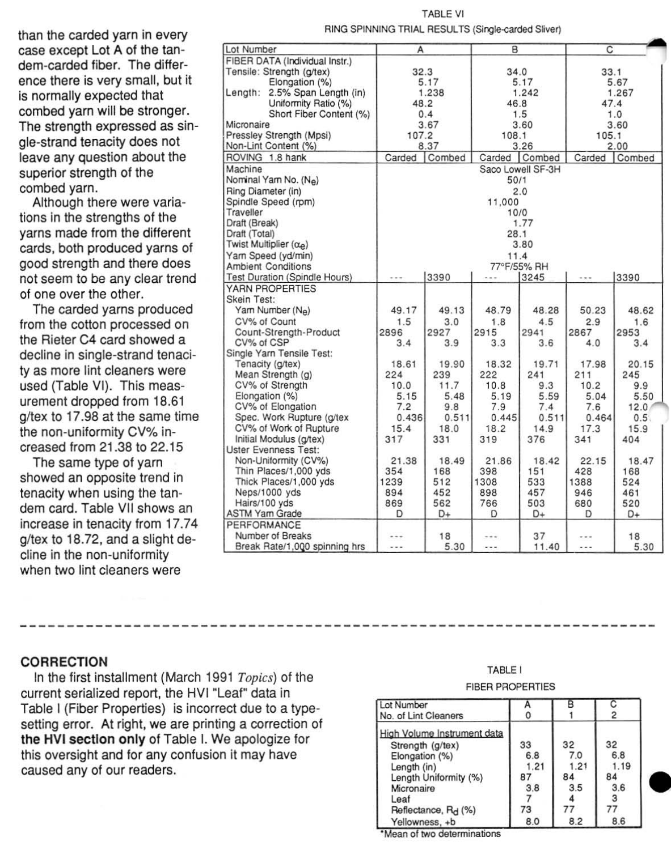than the carded yarn in every case except Lot A of the tan· dem·carded fiber. The difference there is very small, but it is normally expected that combed yarn will be stronger. The strength expressed as sin· gle-strand tenacity does not leave any question about the superior strength of the combed yarn.

Although there were variations in the strengths of the yarns made from the different cards, both produced yarns of good strength and there does not seem to be any clear trend of one over the other,

The carded yarns produced from the cotton processed on the Rieter C4 card showed a decline in Single-strand tenaci· ty as more lint cleaners were used (Table VI). This measurement dropped from 18.61 g/tex to 17.98 at the same time the non-uniformity CV% increased from 21.38 to 22.15

The same type of yarn showed an opposite trend in tenacity when using the tan· dem card. Table VII shows an increase in tenacity from 17.74 g/tex to 18.72. and a slight decline in the non-uniformity when two lint cleaners were

| Lot Number                                          | А                         |                | B       |               | C      |        |  |
|-----------------------------------------------------|---------------------------|----------------|---------|---------------|--------|--------|--|
| FIBER DATA (Individual Instr.)                      |                           |                |         |               |        |        |  |
| Tensile: Strength (q/tex)                           | 32.3                      |                | 34.0    |               | 33.1   |        |  |
| Elongation (%)                                      | 5.17                      |                | 5.17    |               | 5.67   |        |  |
| 2.5% Span Length (in)<br>Length:                    | 1.238                     |                | 1.242   |               | 1.267  |        |  |
| Uniformity Ratio (%)                                | 48.2                      |                | 46.8    |               | 47.4   |        |  |
| Short Fiber Content (%)                             | 0.4                       |                | 1.5     |               | 1.0    |        |  |
| Micronaire                                          | 3.67                      |                | 3.60    |               | 3.60   |        |  |
| Pressley Strength (Mpsi)                            | 107.2                     |                | 108.1   |               | 105.1  |        |  |
| Non-Lint Content (%)                                | 8.37                      |                | 3.26    |               | 2.00   |        |  |
| ROVING 1.8 hank                                     | Carded                    | Combed         |         | Carded Combed | Carded | Combed |  |
| Machine                                             |                           |                |         |               |        |        |  |
| Nominal Yarn No. (Ne)                               | Saco Lowell SF-3H<br>50/1 |                |         |               |        |        |  |
| Ring Diameter (in)                                  | 2.0                       |                |         |               |        |        |  |
| Spindle Speed (rpm)                                 |                           |                |         |               |        |        |  |
| Traveller                                           |                           | 11.000<br>10/0 |         |               |        |        |  |
| Draft (Break)                                       |                           |                |         |               |        |        |  |
|                                                     | 1.77                      |                |         |               |        |        |  |
| Draft (Total)<br>Twist Multiplier $(\alpha_{\rho})$ | 28.1                      |                |         |               |        |        |  |
|                                                     | 3.80                      |                |         |               |        |        |  |
| Yam Speed (yd/min)                                  | 11.4<br>77°F/55% RH       |                |         |               |        |        |  |
| <b>Ambient Conditions</b>                           |                           |                |         |               |        |        |  |
| Test Duration (Spindle Hours)                       | $+ + +$                   | 3390           | $- - -$ | 3245          |        | 3390   |  |
| YARN PROPERTIES                                     |                           |                |         |               |        |        |  |
| Skein Test:                                         |                           |                |         |               |        |        |  |
| Yam Number (Ne)                                     | 49.17                     | 49.13          | 48.79   | 48.28         | 50.23  | 48.62  |  |
| CV% of Count                                        | 1.5                       | 3.0            | 1.8     | 4.5           | 2.9    | 1.6    |  |
| Count-Strength-Product                              | 2896                      | 2927           | 2915    | 2941          | 2867   | 2953   |  |
| CV% of CSP                                          | 3.4                       | 3.9            | 3.3     | 3.6           | 4.0    | 3.4    |  |
| Single Yarn Tensile Test:                           |                           |                |         |               |        |        |  |
| Tenacity (g/tex)                                    | 18.61                     | 19.90          | 18.32   | 19.71         | 17.98  | 20.15  |  |
| Mean Strength (g)                                   | 224                       | 239            | 222     | 241           | 211    | 245    |  |
| CV% of Strength                                     | 10.0                      | 11.7           | 10.8    | 9.3           | 10.2   | 9.9    |  |
| Elongation (%)                                      | 5.15                      | 5.48           | 5.19    | 5.59          | 5.04   | 5.50   |  |
| CV% of Elongation                                   | 7.2                       | 9.8            | 7.9     | 7.4           | 7.6    | 12.0   |  |
| Spec. Work Rupture (g/tex                           | 0.436                     | 0.511          | 0.445   | 0.511         | 0.464  | 0.5    |  |
| CV% of Work of Rupture                              | 15.4                      | 18.0           | 18.2    | 14.9          | 17.3   | 15.9   |  |
| Initial Modulus (g/tex)                             | 317                       | 331            | 319     | 376           | 341    | 404    |  |
| <b>Uster Evenness Test:</b>                         |                           |                |         |               |        |        |  |
| Non-Uniformity (CV%)                                | 21.38                     | 18.49          | 21.86   | 18.42         | 22.15  | 18.47  |  |
| Thin Places/1,000 yds                               | 354                       | 168            | 398     | 151           | 428    | 168    |  |
| Thick Places/1,000 yds                              | 1239                      | 512            | 1308    | 533           | 1388   | 524    |  |
| Neps/1000 yds                                       | 894                       | 452            | 898     | 457           | 946    | 461    |  |
| Hairs/100 yds                                       | 869                       | 562            | 766     | 503           | 680    | 520    |  |
| <b>ASTM Yam Grade</b>                               | D                         | D+             | D       | D+            | Ð      | D+     |  |
| PERFORMANCE                                         |                           |                |         |               |        |        |  |
| Number of Breaks                                    |                           | 18             |         | 37            |        | 18     |  |
| Break Rate/1,000 spinning hrs                       |                           | 5.30           | ---     | 11.40         | .      | 5.30   |  |
|                                                     |                           |                |         |               |        |        |  |

#### TABLE VI RING SPINNING TRIAL RESULTS (Sirgle-carded Sliver)

## CORRECTION

In the first installment (March 1991 Topics) of the current serialized report, the HVI "Leaf" data in Table I (Fiber Properties) is incorrect due to a typesetting error. At right, we are printing a correction of the HVI section only of Table I. We apologize for this oversight and for any confusion it may have caused any of our readers.

#### TABLE I

#### FIBER PROPERTIES

| Lot Number                      |      |      |      |
|---------------------------------|------|------|------|
| No. of Lint Cleaners            |      |      | 2    |
| High Volume Instrument data     |      |      |      |
| Strength (g/tex)                | 33   | 32   | 32   |
| Elongation (%)                  | 6.8  | 7.0  | 6.8  |
| Length (in)                     | 1.21 | 1.21 | 1.19 |
| Length Uniformity (%)           | 87   | 84   | 84   |
| Micronaire                      | 3.8  | 3.5  | 3.6  |
| Leaf                            |      |      |      |
| Reflectance, R <sub>d</sub> (%) | 73   |      |      |
| Yellowness, +b                  | 8.0  | 8.2  | 8.6  |

\*Mean of two determinations